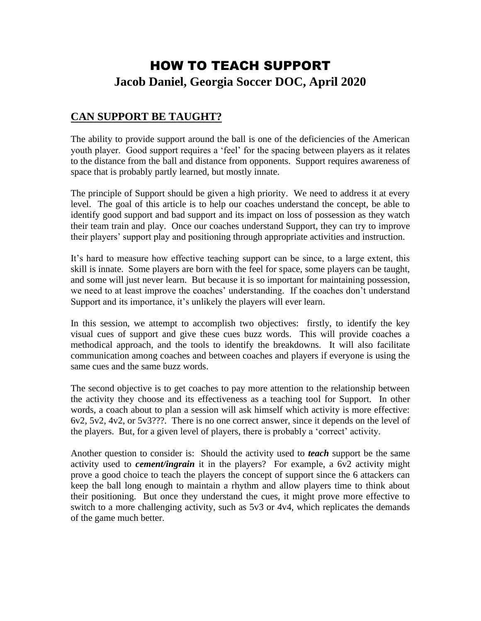# HOW TO TEACH SUPPORT **Jacob Daniel, Georgia Soccer DOC, April 2020**

# **CAN SUPPORT BE TAUGHT?**

The ability to provide support around the ball is one of the deficiencies of the American youth player. Good support requires a 'feel' for the spacing between players as it relates to the distance from the ball and distance from opponents. Support requires awareness of space that is probably partly learned, but mostly innate.

The principle of Support should be given a high priority. We need to address it at every level. The goal of this article is to help our coaches understand the concept, be able to identify good support and bad support and its impact on loss of possession as they watch their team train and play. Once our coaches understand Support, they can try to improve their players' support play and positioning through appropriate activities and instruction.

It's hard to measure how effective teaching support can be since, to a large extent, this skill is innate. Some players are born with the feel for space, some players can be taught, and some will just never learn. But because it is so important for maintaining possession, we need to at least improve the coaches' understanding. If the coaches don't understand Support and its importance, it's unlikely the players will ever learn.

In this session, we attempt to accomplish two objectives: firstly, to identify the key visual cues of support and give these cues buzz words. This will provide coaches a methodical approach, and the tools to identify the breakdowns. It will also facilitate communication among coaches and between coaches and players if everyone is using the same cues and the same buzz words.

The second objective is to get coaches to pay more attention to the relationship between the activity they choose and its effectiveness as a teaching tool for Support. In other words, a coach about to plan a session will ask himself which activity is more effective: 6v2, 5v2, 4v2, or 5v3???. There is no one correct answer, since it depends on the level of the players. But, for a given level of players, there is probably a 'correct' activity.

Another question to consider is: Should the activity used to *teach* support be the same activity used to *cement/ingrain* it in the players? For example, a 6v2 activity might prove a good choice to teach the players the concept of support since the 6 attackers can keep the ball long enough to maintain a rhythm and allow players time to think about their positioning. But once they understand the cues, it might prove more effective to switch to a more challenging activity, such as 5v3 or 4v4, which replicates the demands of the game much better.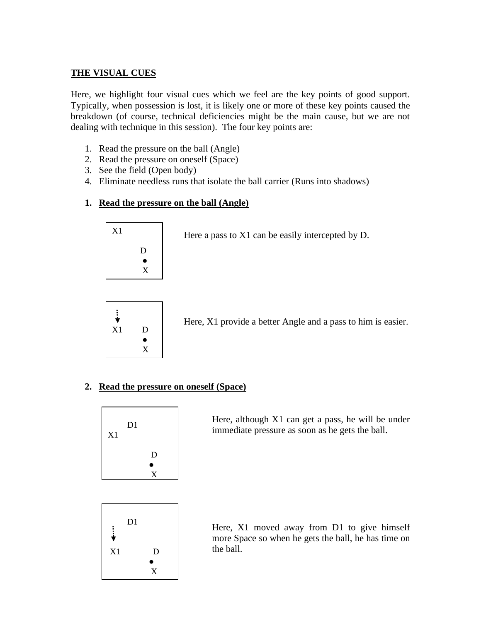## **THE VISUAL CUES**

Here, we highlight four visual cues which we feel are the key points of good support. Typically, when possession is lost, it is likely one or more of these key points caused the breakdown (of course, technical deficiencies might be the main cause, but we are not dealing with technique in this session). The four key points are:

- 1. Read the pressure on the ball (Angle)
- 2. Read the pressure on oneself (Space)
- 3. See the field (Open body)
- 4. Eliminate needless runs that isolate the ball carrier (Runs into shadows)

### **1. Read the pressure on the ball (Angle)**



Here a pass to X1 can be easily intercepted by D.



Here, X1 provide a better Angle and a pass to him is easier.

### **2. Read the pressure on oneself (Space)**



Here, although X1 can get a pass, he will be under immediate pressure as soon as he gets the ball.



Here, X1 moved away from D1 to give himself more Space so when he gets the ball, he has time on the ball.